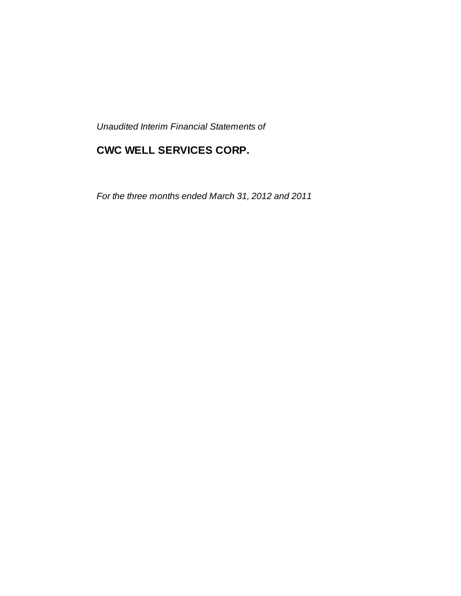*Unaudited Interim Financial Statements of*

# **CWC WELL SERVICES CORP.**

*For the three months ended March 31, 2012 and 2011*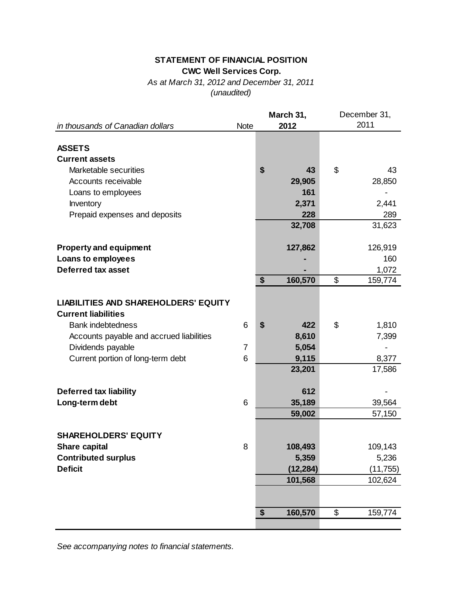## **STATEMENT OF FINANCIAL POSITION CWC Well Services Corp.**

*As at March 31, 2012 and December 31, 2011 (unaudited)*

|                                             |             | March 31,     | December 31, |           |  |  |
|---------------------------------------------|-------------|---------------|--------------|-----------|--|--|
| in thousands of Canadian dollars            | <b>Note</b> | 2012          |              | 2011      |  |  |
|                                             |             |               |              |           |  |  |
| <b>ASSETS</b>                               |             |               |              |           |  |  |
| <b>Current assets</b>                       |             |               |              |           |  |  |
| Marketable securities                       |             | \$<br>43      | \$           | 43        |  |  |
| Accounts receivable                         |             | 29,905        |              | 28,850    |  |  |
| Loans to employees                          |             | 161           |              |           |  |  |
| Inventory                                   |             | 2,371         |              | 2,441     |  |  |
| Prepaid expenses and deposits               |             | 228           |              | 289       |  |  |
|                                             |             | 32,708        |              | 31,623    |  |  |
|                                             |             |               |              |           |  |  |
| <b>Property and equipment</b>               |             | 127,862       |              | 126,919   |  |  |
| Loans to employees                          |             |               |              | 160       |  |  |
| <b>Deferred tax asset</b>                   |             |               |              | 1,072     |  |  |
|                                             |             | \$<br>160,570 | \$           | 159,774   |  |  |
|                                             |             |               |              |           |  |  |
| <b>LIABILITIES AND SHAREHOLDERS' EQUITY</b> |             |               |              |           |  |  |
| <b>Current liabilities</b>                  |             |               |              |           |  |  |
| <b>Bank indebtedness</b>                    | 6           | \$<br>422     | \$           | 1,810     |  |  |
|                                             |             |               |              |           |  |  |
| Accounts payable and accrued liabilities    |             | 8,610         |              | 7,399     |  |  |
| Dividends payable                           | 7           | 5,054         |              |           |  |  |
| Current portion of long-term debt           | 6           | 9,115         |              | 8,377     |  |  |
|                                             |             | 23,201        |              | 17,586    |  |  |
|                                             |             |               |              |           |  |  |
| <b>Deferred tax liability</b>               |             | 612           |              |           |  |  |
| Long-term debt                              | 6           | 35,189        |              | 39,564    |  |  |
|                                             |             | 59,002        |              | 57,150    |  |  |
|                                             |             |               |              |           |  |  |
| <b>SHAREHOLDERS' EQUITY</b>                 |             |               |              |           |  |  |
| <b>Share capital</b>                        | 8           | 108,493       |              | 109,143   |  |  |
| <b>Contributed surplus</b>                  |             | 5,359         |              | 5,236     |  |  |
| <b>Deficit</b>                              |             | (12, 284)     |              | (11, 755) |  |  |
|                                             |             | 101,568       |              | 102,624   |  |  |
|                                             |             |               |              |           |  |  |
|                                             |             |               |              |           |  |  |
|                                             |             | \$<br>160,570 | \$           | 159,774   |  |  |
|                                             |             |               |              |           |  |  |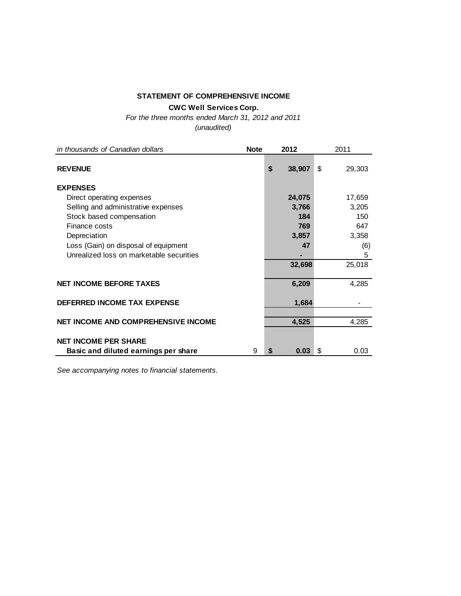## **STATEMENT OF COMPREHENSIVE INCOME**

**CWC Well Services Corp.**

*For the three months ended March 31, 2012 and 2011*

*(unaudited)*

| in thousands of Canadian dollars           | <b>Note</b> |    | 2012   | 2011         |
|--------------------------------------------|-------------|----|--------|--------------|
| <b>REVENUE</b>                             |             | \$ | 38,907 | \$<br>29,303 |
| <b>EXPENSES</b>                            |             |    |        |              |
| Direct operating expenses                  |             |    | 24,075 | 17,659       |
| Selling and administrative expenses        |             |    | 3,766  | 3,205        |
| Stock based compensation                   |             |    | 184    | 150          |
| Finance costs                              |             |    | 769    | 647          |
| Depreciation                               |             |    | 3,857  | 3,358        |
| Loss (Gain) on disposal of equipment       |             |    | 47     | (6)          |
| Unrealized loss on marketable securities   |             |    |        | 5            |
|                                            |             |    | 32,698 | 25,018       |
| <b>NET INCOME BEFORE TAXES</b>             |             |    | 6,209  | 4,285        |
| DEFERRED INCOME TAX EXPENSE                |             |    | 1,684  |              |
| <b>NET INCOME AND COMPREHENSIVE INCOME</b> |             |    | 4,525  | 4,285        |
| <b>NET INCOME PER SHARE</b>                |             |    |        |              |
| Basic and diluted earnings per share       | 9           | S  | 0.03   | \$<br>0.03   |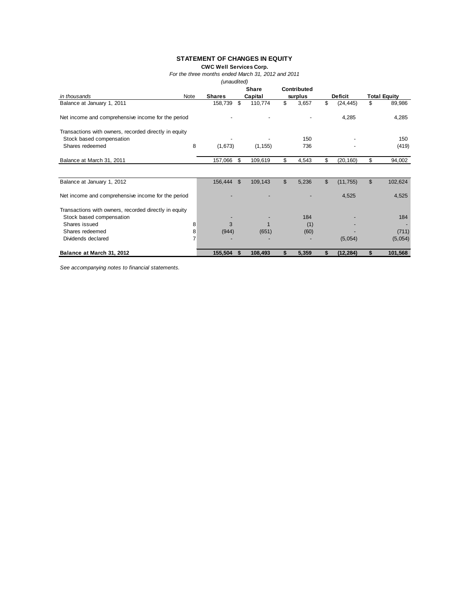### **STATEMENT OF CHANGES IN EQUITY**

**CWC Well Services Corp.**

*For the three months ended March 31, 2012 and 2011*

*(unaudited)*

|                                                       |      |               | <b>Share</b> |          | Contributed |         |                |                |                     |
|-------------------------------------------------------|------|---------------|--------------|----------|-------------|---------|----------------|----------------|---------------------|
| in thousands                                          | Note | <b>Shares</b> |              | Capital  |             | surplus |                | <b>Deficit</b> | <b>Total Equity</b> |
| Balance at January 1, 2011                            |      | 158,739       | \$           | 110,774  | \$          | 3,657   | \$             | (24, 445)      | \$<br>89,986        |
| Net income and comprehensive income for the period    |      |               |              |          |             |         |                | 4,285          | 4,285               |
| Transactions with owners, recorded directly in equity |      |               |              |          |             | 150     |                |                | 150                 |
| Stock based compensation<br>Shares redeemed           | 8    | (1,673)       |              | (1, 155) |             | 736     |                |                | (419)               |
| Balance at March 31, 2011                             |      | 157,066       | \$           | 109,619  | \$          | 4,543   | \$             | (20, 160)      | \$<br>94,002        |
|                                                       |      |               |              |          |             |         |                |                |                     |
| Balance at January 1, 2012                            |      | 156,444       | $\mathbb{S}$ | 109,143  | \$          | 5,236   | $\mathfrak{L}$ | (11, 755)      | \$<br>102,624       |
| Net income and comprehensive income for the period    |      |               |              |          |             |         |                | 4,525          | 4,525               |
| Transactions with owners, recorded directly in equity |      |               |              |          |             |         |                |                |                     |
| Stock based compensation                              |      |               |              |          |             | 184     |                |                | 184                 |
| Shares issued                                         | 8    | 3             |              |          |             | (1)     |                |                |                     |
| Shares redeemed                                       | 8    | (944)         |              | (651)    |             | (60)    |                |                | (711)               |
| Dividends declared                                    |      |               |              |          |             |         |                | (5,054)        | (5,054)             |
| Balance at March 31, 2012                             |      | 155,504       | S            | 108,493  | \$          | 5,359   | \$             | (12,284)       | \$<br>101,568       |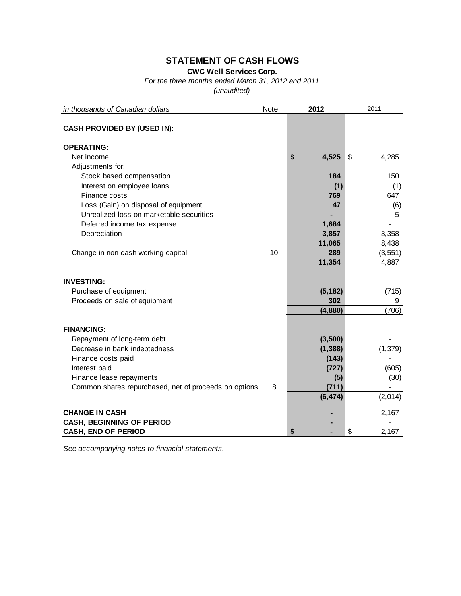## **STATEMENT OF CASH FLOWS**

**CWC Well Services Corp.**

*For the three months ended March 31, 2012 and 2011*

*(unaudited)*

| in thousands of Canadian dollars                      | Note | 2012        | 2011        |
|-------------------------------------------------------|------|-------------|-------------|
| <b>CASH PROVIDED BY (USED IN):</b>                    |      |             |             |
| <b>OPERATING:</b>                                     |      |             |             |
| Net income                                            |      | \$<br>4,525 | 4,285<br>\$ |
| Adjustments for:                                      |      |             |             |
| Stock based compensation                              |      | 184         | 150         |
| Interest on employee loans                            |      | (1)         | (1)         |
| Finance costs                                         |      | 769         | 647         |
| Loss (Gain) on disposal of equipment                  |      | 47          | (6)         |
| Unrealized loss on marketable securities              |      |             | 5           |
| Deferred income tax expense                           |      | 1,684       |             |
| Depreciation                                          |      | 3,857       | 3,358       |
|                                                       |      | 11,065      | 8,438       |
| Change in non-cash working capital                    | 10   | 289         | (3, 551)    |
|                                                       |      | 11,354      | 4,887       |
| <b>INVESTING:</b>                                     |      |             |             |
| Purchase of equipment                                 |      | (5, 182)    | (715)       |
| Proceeds on sale of equipment                         |      | 302         | 9           |
|                                                       |      | (4,880)     | (706)       |
|                                                       |      |             |             |
| <b>FINANCING:</b>                                     |      |             |             |
| Repayment of long-term debt                           |      | (3,500)     |             |
| Decrease in bank indebtedness                         |      | (1, 388)    | (1, 379)    |
| Finance costs paid                                    |      | (143)       |             |
| Interest paid                                         |      | (727)       | (605)       |
| Finance lease repayments                              |      | (5)         | (30)        |
| Common shares repurchased, net of proceeds on options | 8    | (711)       |             |
|                                                       |      | (6, 474)    | (2,014)     |
| <b>CHANGE IN CASH</b>                                 |      |             | 2,167       |
| <b>CASH, BEGINNING OF PERIOD</b>                      |      |             |             |
| <b>CASH, END OF PERIOD</b>                            |      | \$          | \$<br>2,167 |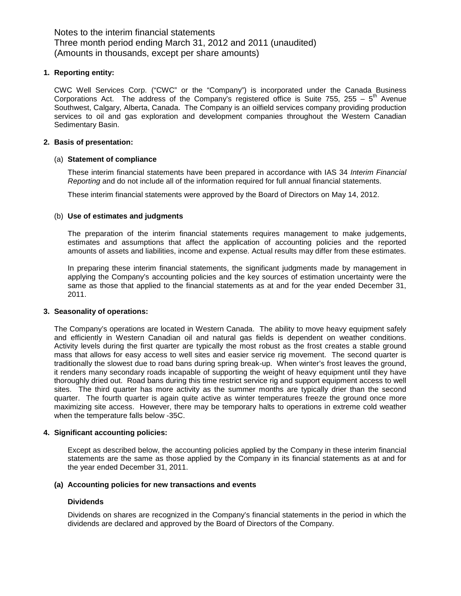Notes to the interim financial statements Three month period ending March 31, 2012 and 2011 (unaudited) (Amounts in thousands, except per share amounts)

#### **1. Reporting entity:**

CWC Well Services Corp. ("CWC" or the "Company") is incorporated under the Canada Business Corporations Act. The address of the Company's registered office is Suite 755, 255 –  $5<sup>th</sup>$  Avenue Southwest, Calgary, Alberta, Canada. The Company is an oilfield services company providing production services to oil and gas exploration and development companies throughout the Western Canadian Sedimentary Basin.

### **2. Basis of presentation:**

#### (a) **Statement of compliance**

These interim financial statements have been prepared in accordance with IAS 34 *Interim Financial Reporting* and do not include all of the information required for full annual financial statements.

These interim financial statements were approved by the Board of Directors on May 14, 2012.

#### (b) **Use of estimates and judgments**

The preparation of the interim financial statements requires management to make judgements, estimates and assumptions that affect the application of accounting policies and the reported amounts of assets and liabilities, income and expense. Actual results may differ from these estimates.

In preparing these interim financial statements, the significant judgments made by management in applying the Company's accounting policies and the key sources of estimation uncertainty were the same as those that applied to the financial statements as at and for the year ended December 31, 2011.

#### **3. Seasonality of operations:**

The Company's operations are located in Western Canada. The ability to move heavy equipment safely and efficiently in Western Canadian oil and natural gas fields is dependent on weather conditions. Activity levels during the first quarter are typically the most robust as the frost creates a stable ground mass that allows for easy access to well sites and easier service rig movement. The second quarter is traditionally the slowest due to road bans during spring break-up. When winter's frost leaves the ground, it renders many secondary roads incapable of supporting the weight of heavy equipment until they have thoroughly dried out. Road bans during this time restrict service rig and support equipment access to well sites. The third quarter has more activity as the summer months are typically drier than the second quarter. The fourth quarter is again quite active as winter temperatures freeze the ground once more maximizing site access. However, there may be temporary halts to operations in extreme cold weather when the temperature falls below -35C.

#### **4. Significant accounting policies:**

Except as described below, the accounting policies applied by the Company in these interim financial statements are the same as those applied by the Company in its financial statements as at and for the year ended December 31, 2011.

#### **(a) Accounting policies for new transactions and events**

#### **Dividends**

Dividends on shares are recognized in the Company's financial statements in the period in which the dividends are declared and approved by the Board of Directors of the Company.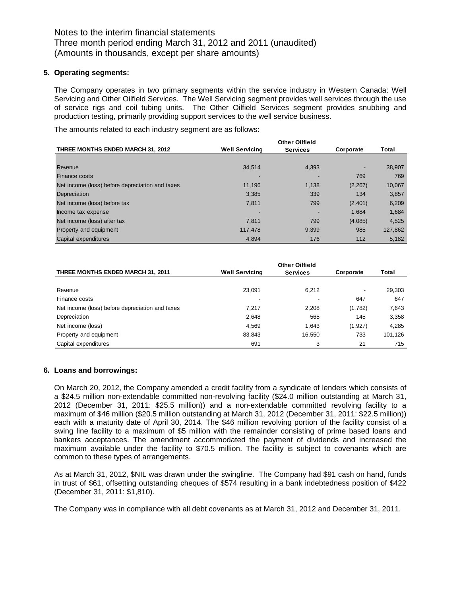#### **5. Operating segments:**

The Company operates in two primary segments within the service industry in Western Canada: Well Servicing and Other Oilfield Services. The Well Servicing segment provides well services through the use of service rigs and coil tubing units. The Other Oilfield Services segment provides snubbing and production testing, primarily providing support services to the well service business.

The amounts related to each industry segment are as follows:

|                                                 |                       | <b>Other Oilfield</b> |           |         |
|-------------------------------------------------|-----------------------|-----------------------|-----------|---------|
| THREE MONTHS ENDED MARCH 31, 2012               | <b>Well Servicing</b> | <b>Services</b>       | Corporate | Total   |
|                                                 |                       |                       |           |         |
| Revenue                                         | 34.514                | 4,393                 |           | 38,907  |
| <b>Finance costs</b>                            |                       |                       | 769       | 769     |
| Net income (loss) before depreciation and taxes | 11.196                | 1.138                 | (2, 267)  | 10,067  |
| Depreciation                                    | 3,385                 | 339                   | 134       | 3,857   |
| Net income (loss) before tax                    | 7,811                 | 799                   | (2,401)   | 6,209   |
| Income tax expense                              |                       |                       | 1.684     | 1,684   |
| Net income (loss) after tax                     | 7.811                 | 799                   | (4,085)   | 4,525   |
| Property and equipment                          | 117,478               | 9,399                 | 985       | 127,862 |
| Capital expenditures                            | 4.894                 | 176                   | 112       | 5,182   |

|                                                 |                       | <b>Other Oilfield</b> |           |         |
|-------------------------------------------------|-----------------------|-----------------------|-----------|---------|
| <b>THREE MONTHS ENDED MARCH 31, 2011</b>        | <b>Well Servicing</b> | <b>Services</b>       | Corporate | Total   |
|                                                 |                       |                       |           |         |
| Revenue                                         | 23,091                | 6,212                 |           | 29,303  |
| Finance costs                                   |                       |                       | 647       | 647     |
| Net income (loss) before depreciation and taxes | 7.217                 | 2,208                 | (1,782)   | 7,643   |
| Depreciation                                    | 2,648                 | 565                   | 145       | 3,358   |
| Net income (loss)                               | 4,569                 | 1.643                 | (1, 927)  | 4,285   |
| Property and equipment                          | 83,843                | 16,550                | 733       | 101.126 |
| Capital expenditures                            | 691                   | 3                     | 21        | 715     |

#### **6. Loans and borrowings:**

On March 20, 2012, the Company amended a credit facility from a syndicate of lenders which consists of a \$24.5 million non-extendable committed non-revolving facility (\$24.0 million outstanding at March 31, 2012 (December 31, 2011: \$25.5 million)) and a non-extendable committed revolving facility to a maximum of \$46 million (\$20.5 million outstanding at March 31, 2012 (December 31, 2011: \$22.5 million)) each with a maturity date of April 30, 2014. The \$46 million revolving portion of the facility consist of a swing line facility to a maximum of \$5 million with the remainder consisting of prime based loans and bankers acceptances. The amendment accommodated the payment of dividends and increased the maximum available under the facility to \$70.5 million. The facility is subject to covenants which are common to these types of arrangements.

As at March 31, 2012, \$NIL was drawn under the swingline. The Company had \$91 cash on hand, funds in trust of \$61, offsetting outstanding cheques of \$574 resulting in a bank indebtedness position of \$422 (December 31, 2011: \$1,810).

The Company was in compliance with all debt covenants as at March 31, 2012 and December 31, 2011.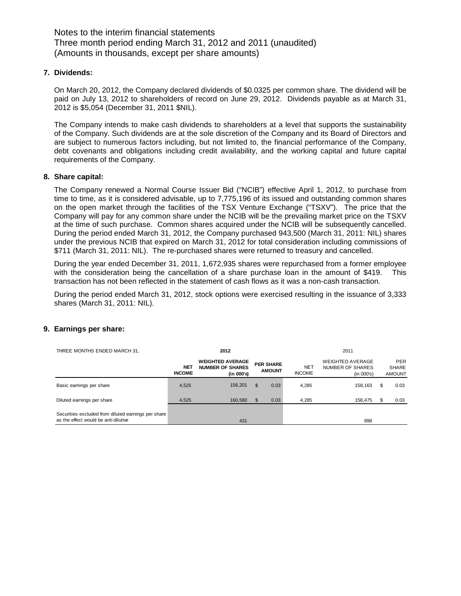Notes to the interim financial statements Three month period ending March 31, 2012 and 2011 (unaudited) (Amounts in thousands, except per share amounts)

#### **7. Dividends:**

On March 20, 2012, the Company declared dividends of \$0.0325 per common share. The dividend will be paid on July 13, 2012 to shareholders of record on June 29, 2012. Dividends payable as at March 31, 2012 is \$5,054 (December 31, 2011 \$NIL).

The Company intends to make cash dividends to shareholders at a level that supports the sustainability of the Company. Such dividends are at the sole discretion of the Company and its Board of Directors and are subject to numerous factors including, but not limited to, the financial performance of the Company, debt covenants and obligations including credit availability, and the working capital and future capital requirements of the Company.

#### **8. Share capital:**

The Company renewed a Normal Course Issuer Bid ("NCIB") effective April 1, 2012, to purchase from time to time, as it is considered advisable, up to 7,775,196 of its issued and outstanding common shares on the open market through the facilities of the TSX Venture Exchange ("TSXV"). The price that the Company will pay for any common share under the NCIB will be the prevailing market price on the TSXV at the time of such purchase. Common shares acquired under the NCIB will be subsequently cancelled. During the period ended March 31, 2012, the Company purchased 943,500 (March 31, 2011: NIL) shares under the previous NCIB that expired on March 31, 2012 for total consideration including commissions of \$711 (March 31, 2011: NIL). The re-purchased shares were returned to treasury and cancelled.

During the year ended December 31, 2011, 1,672,935 shares were repurchased from a former employee with the consideration being the cancellation of a share purchase loan in the amount of \$419. This transaction has not been reflected in the statement of cash flows as it was a non-cash transaction.

During the period ended March 31, 2012, stock options were exercised resulting in the issuance of 3,333 shares (March 31, 2011: NIL).

| THREE MONTHS ENDED MARCH 31,                                                                | 2012                        |                                                                  |     | 2011                              |                             |                                                           |     |                                             |
|---------------------------------------------------------------------------------------------|-----------------------------|------------------------------------------------------------------|-----|-----------------------------------|-----------------------------|-----------------------------------------------------------|-----|---------------------------------------------|
|                                                                                             | <b>NET</b><br><b>INCOME</b> | <b>WEIGHTED AVERAGE</b><br><b>NUMBER OF SHARES</b><br>(in 000's) |     | <b>PER SHARE</b><br><b>AMOUNT</b> | <b>NET</b><br><b>INCOME</b> | <b>WEIGHTED AVERAGE</b><br>NUMBER OF SHARES<br>(in 000's) |     | <b>PER</b><br><b>SHARE</b><br><b>AMOUNT</b> |
| Basic earnings per share                                                                    | 4.525                       | 156,201                                                          | \$. | 0.03                              | 4.285                       | 158.163                                                   | \$. | 0.03                                        |
| Diluted earnings per share                                                                  | 4,525                       | 160,580                                                          |     | 0.03                              | 4.285                       | 158.475                                                   |     | 0.03                                        |
| Securities excluded from diluted earnings per share<br>as the effect would be anti-dilutive |                             | 431                                                              |     |                                   |                             | 898                                                       |     |                                             |

### **9. Earnings per share:**